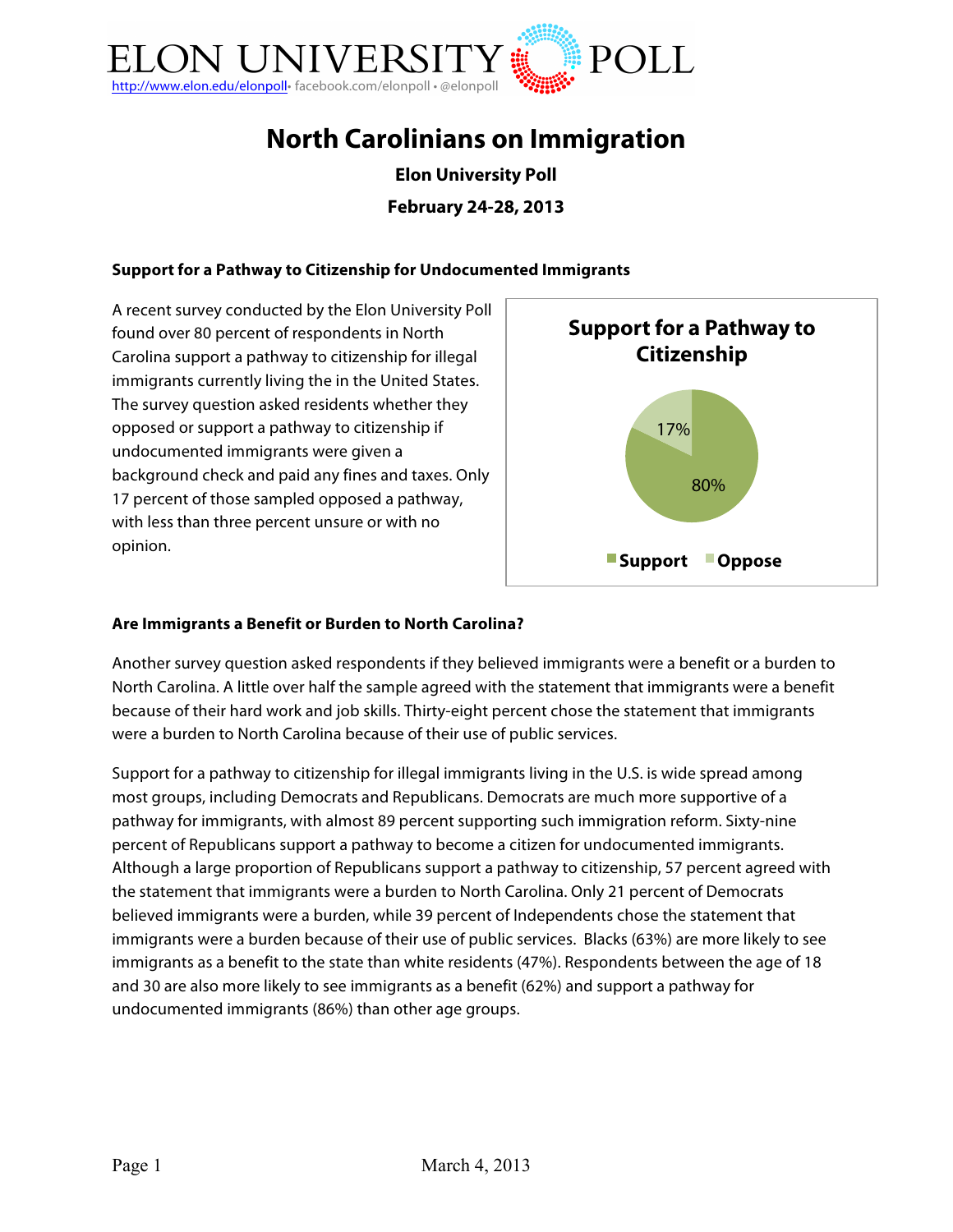

# **North Carolinians on Immigration**

**Elon University Poll February 24-28, 2013**

#### **Support for a Pathway to Citizenship for Undocumented Immigrants**

A recent survey conducted by the Elon University Poll found over 80 percent of respondents in North Carolina support a pathway to citizenship for illegal immigrants currently living the in the United States. The survey question asked residents whether they opposed or support a pathway to citizenship if undocumented immigrants were given a background check and paid any fines and taxes. Only 17 percent of those sampled opposed a pathway, with less than three percent unsure or with no opinion.



#### **Are Immigrants a Benefit or Burden to North Carolina?**

Another survey question asked respondents if they believed immigrants were a benefit or a burden to North Carolina. A little over half the sample agreed with the statement that immigrants were a benefit because of their hard work and job skills. Thirty-eight percent chose the statement that immigrants were a burden to North Carolina because of their use of public services.

Support for a pathway to citizenship for illegal immigrants living in the U.S. is wide spread among most groups, including Democrats and Republicans. Democrats are much more supportive of a pathway for immigrants, with almost 89 percent supporting such immigration reform. Sixty-nine percent of Republicans support a pathway to become a citizen for undocumented immigrants. Although a large proportion of Republicans support a pathway to citizenship, 57 percent agreed with the statement that immigrants were a burden to North Carolina. Only 21 percent of Democrats believed immigrants were a burden, while 39 percent of Independents chose the statement that immigrants were a burden because of their use of public services. Blacks (63%) are more likely to see immigrants as a benefit to the state than white residents (47%). Respondents between the age of 18 and 30 are also more likely to see immigrants as a benefit (62%) and support a pathway for undocumented immigrants (86%) than other age groups.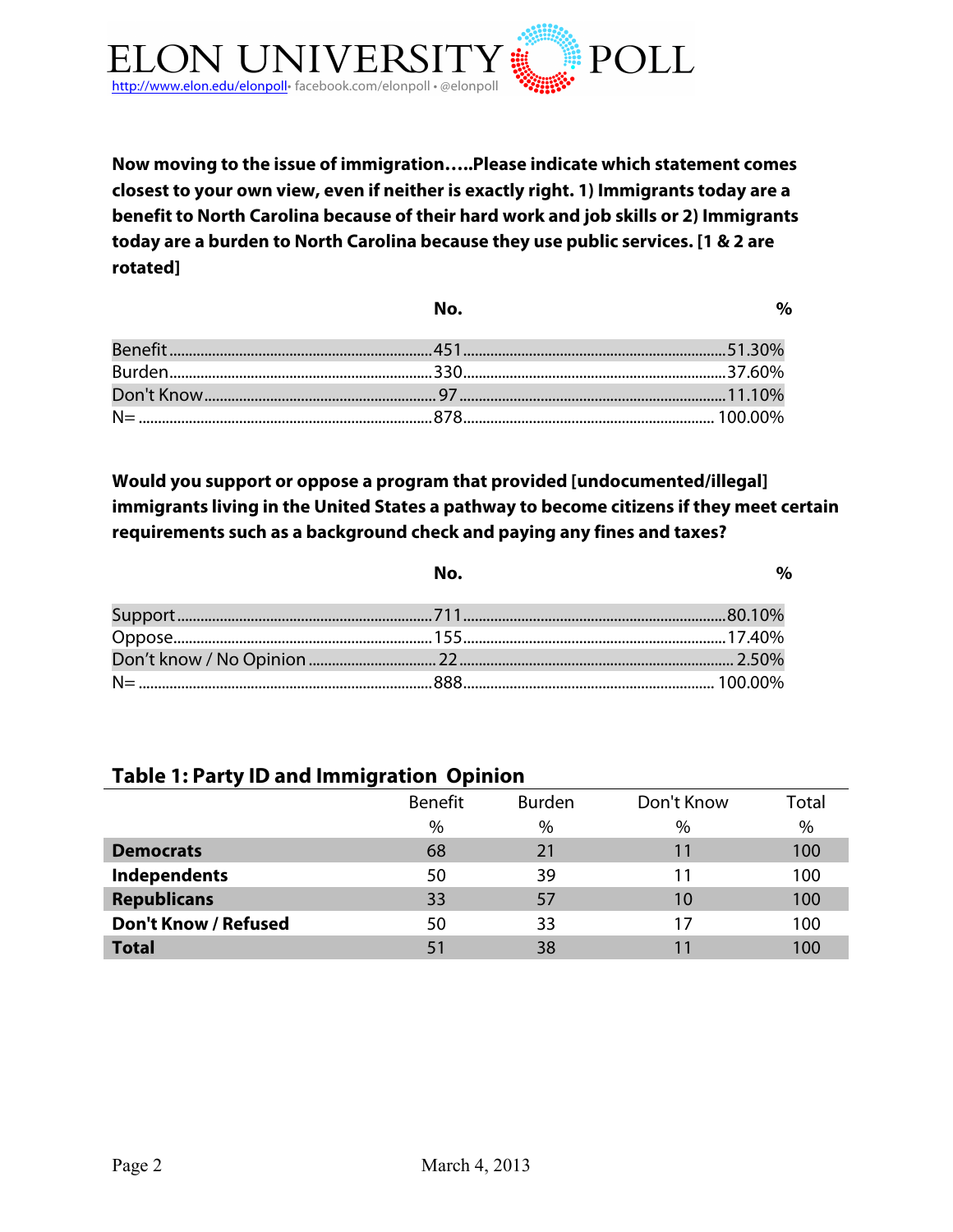

**Now moving to the issue of immigration…..Please indicate which statement comes closest to your own view, even if neither is exactly right. 1) Immigrants today are a benefit to North Carolina because of their hard work and job skills or 2) Immigrants today are a burden to North Carolina because they use public services. [1 & 2 are rotated]**

| No. | $O_{\mathbf{a}}$ |
|-----|------------------|
|     |                  |
|     |                  |
|     |                  |
|     |                  |

**Would you support or oppose a program that provided [undocumented/illegal] immigrants living in the United States a pathway to become citizens if they meet certain requirements such as a background check and paying any fines and taxes?**

| No. |  |
|-----|--|
|     |  |
|     |  |
|     |  |
|     |  |

## **Table 1: Party ID and Immigration Opinion**

|                             | Benefit | <b>Burden</b> | Don't Know | Total |
|-----------------------------|---------|---------------|------------|-------|
|                             | $\%$    | $\%$          | $\%$       | $\%$  |
| <b>Democrats</b>            | 68      | 21            | 11         | 100   |
| <b>Independents</b>         | 50      | 39            |            | 100   |
| <b>Republicans</b>          | 33      | 57            | 10         | 100   |
| <b>Don't Know / Refused</b> | 50      | 33            | 17         | 100   |
| <b>Total</b>                | 51      | 38            |            | 100   |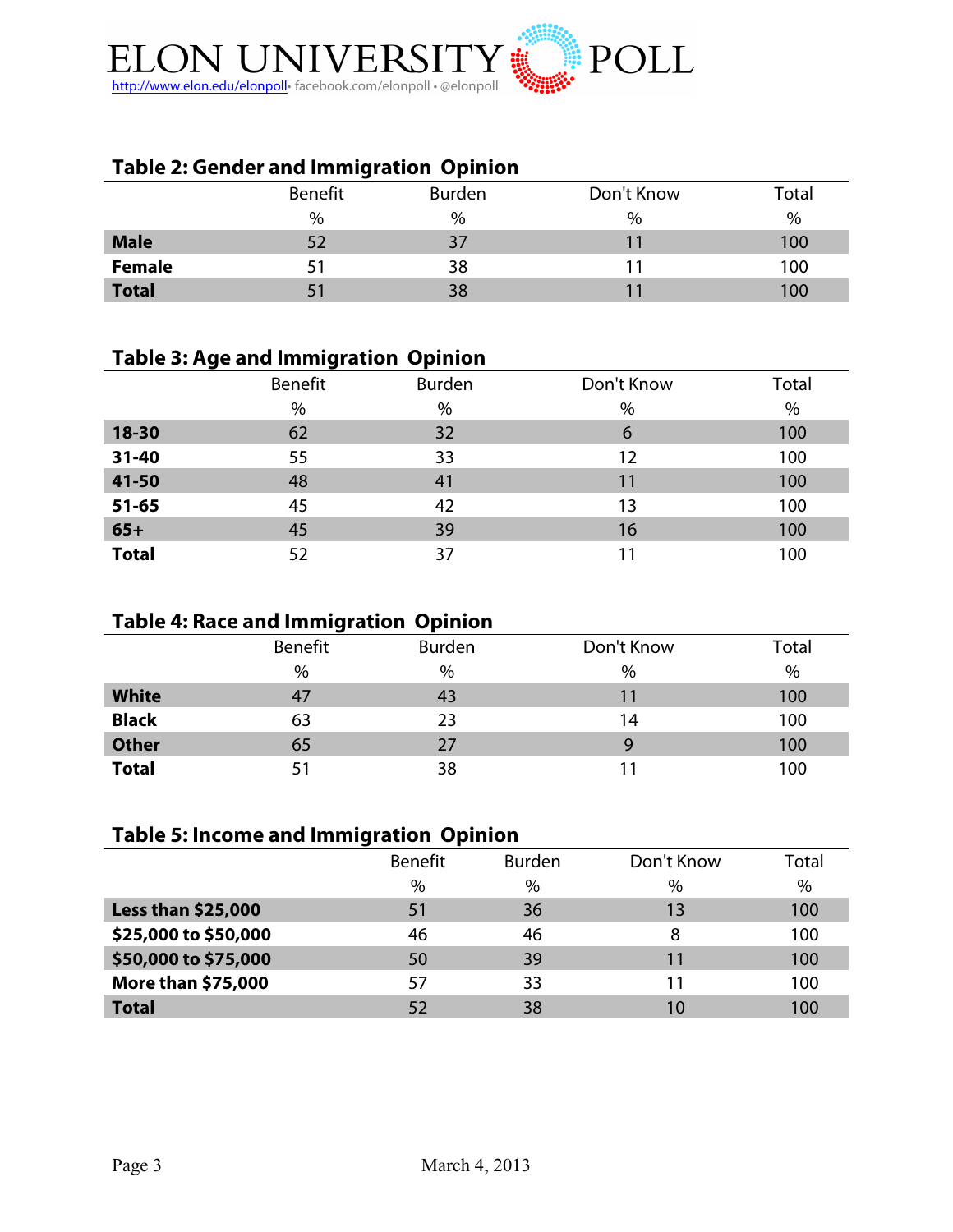

## **Table 2: Gender and Immigration Opinion**

|               | Benefit | <b>Burden</b> | Don't Know | Total |
|---------------|---------|---------------|------------|-------|
|               | %       | %             | %          | %     |
| <b>Male</b>   | 52      | 37            |            | 100   |
| <b>Female</b> |         | 38            |            | 100   |
| <b>Total</b>  |         | 38            |            | 100   |

### **Table 3: Age and Immigration Opinion**

|              | Benefit | <b>Burden</b> | Don't Know | Total |
|--------------|---------|---------------|------------|-------|
|              | %       | %             | %          | $\%$  |
| 18-30        | 62      | 32            | 6          | 100   |
| 31-40        | 55      | 33            | 12         | 100   |
| 41-50        | 48      | 41            | 11         | 100   |
| $51 - 65$    | 45      | 42            | 13         | 100   |
| $65+$        | 45      | 39            | 16         | 100   |
| <b>Total</b> | 52      | 37            | 11         | 100   |

## **Table 4: Race and Immigration Opinion**

|              | _       |        |            |       |
|--------------|---------|--------|------------|-------|
|              | Benefit | Burden | Don't Know | Total |
|              | %       | %      | %          | %     |
| <b>White</b> | 47      | 43     | 11         | 100   |
| <b>Black</b> | 63      | 23     | 14         | 100   |
| <b>Other</b> | 65      | 27     | 9          | 100   |
| <b>Total</b> |         | 38     |            | 100   |

## **Table 5: Income and Immigration Opinion**

|                           | <b>Benefit</b> | <b>Burden</b> | Don't Know | Total |
|---------------------------|----------------|---------------|------------|-------|
|                           | $\%$           | $\%$          | $\%$       | $\%$  |
| <b>Less than \$25,000</b> | 51             | 36            | 13         | 100   |
| \$25,000 to \$50,000      | 46             | 46            | 8          | 100   |
| \$50,000 to \$75,000      | 50             | 39            | 11         | 100   |
| More than \$75,000        | 57             | 33            | 11         | 100   |
| <b>Total</b>              |                | 38            | 10         | 100   |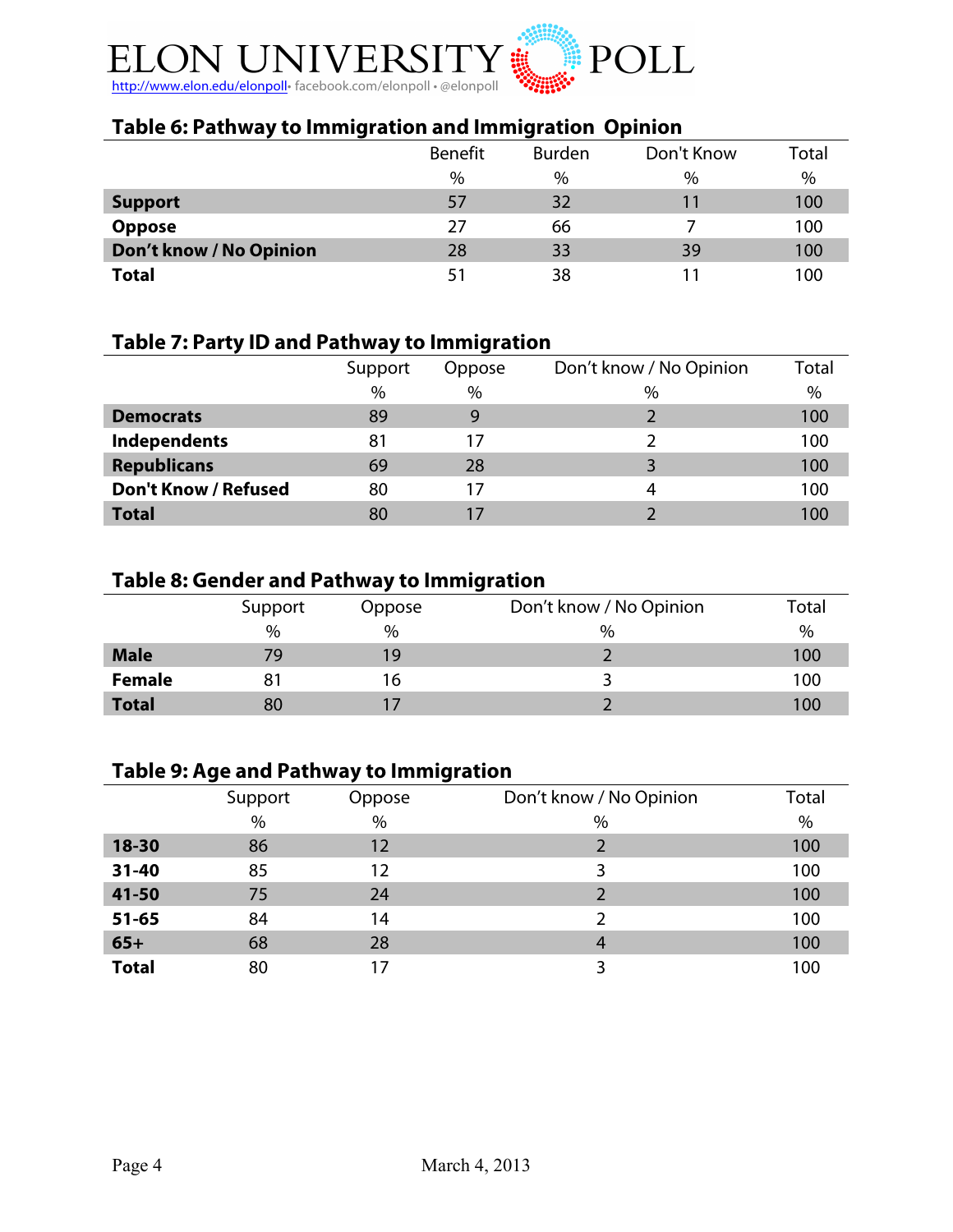

## **Table 6: Pathway to Immigration and Immigration Opinion**

|                         | <b>Benefit</b> | <b>Burden</b> | Don't Know | Total |
|-------------------------|----------------|---------------|------------|-------|
|                         | $\%$           | $\%$          | $\%$       | $\%$  |
| <b>Support</b>          | 57             | 32            | 11         | 100   |
| <b>Oppose</b>           | 27             | 66            |            | 100   |
| Don't know / No Opinion | 28             | 33            | 39         | 100   |
| <b>Total</b>            | 51             | 38            |            | 100   |

## **Table 7: Party ID and Pathway to Immigration**

|                             | Support | Oppose | Don't know / No Opinion | Total |
|-----------------------------|---------|--------|-------------------------|-------|
|                             | $\%$    | $\%$   | $\%$                    | $\%$  |
| <b>Democrats</b>            | 89      | q      |                         | 100   |
| Independents                | 81      |        |                         | 100   |
| <b>Republicans</b>          | 69      | 28     |                         | 100   |
| <b>Don't Know / Refused</b> | 80      | 17     | 4                       | 100   |
| <b>Total</b>                | 80      |        |                         | 100   |

## **Table 8: Gender and Pathway to Immigration**

|               | Support | Oppose        | Don't know / No Opinion | Total |
|---------------|---------|---------------|-------------------------|-------|
|               | $\%$    | $\frac{0}{0}$ | $\%$                    | $\%$  |
| <b>Male</b>   | 79      | 19            |                         | 100   |
| <b>Female</b> | 81      | 16            |                         | 100   |
| <b>Total</b>  | 80      |               |                         | 100   |

#### **Table 9: Age and Pathway to Immigration**

|              | Support | Oppose | Don't know / No Opinion | Total |
|--------------|---------|--------|-------------------------|-------|
|              | $\%$    | $\%$   | $\%$                    | $\%$  |
| 18-30        | 86      | 12     |                         | 100   |
| $31 - 40$    | 85      | 12     | 3                       | 100   |
| 41-50        | 75      | 24     |                         | 100   |
| $51 - 65$    | 84      | 14     |                         | 100   |
| $65+$        | 68      | 28     | 4                       | 100   |
| <b>Total</b> | 80      | 17     | 3                       | 100   |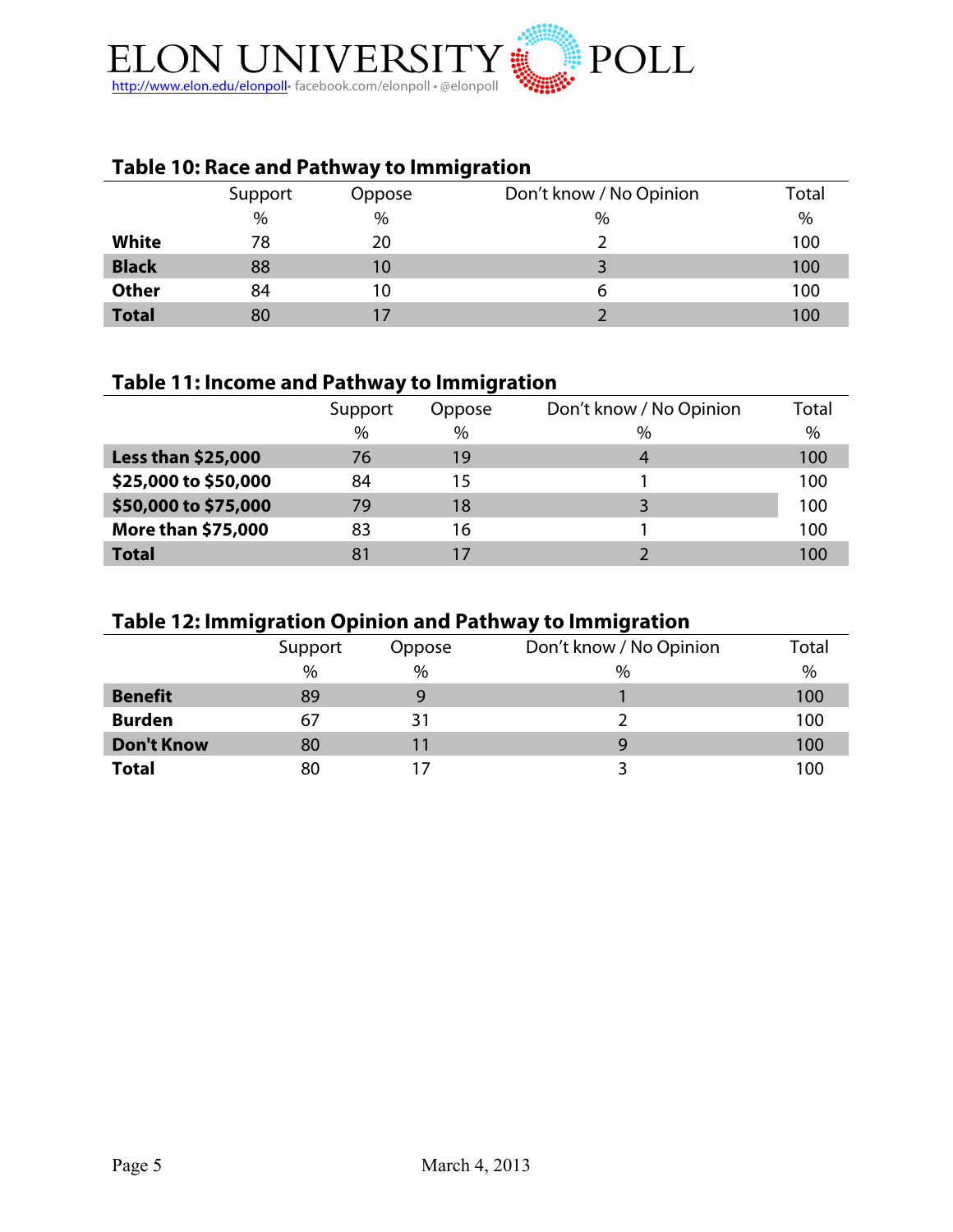

## **Table 10: Race and Pathway to Immigration**

|              | Support | Oppose | Don't know / No Opinion | Total |
|--------------|---------|--------|-------------------------|-------|
|              | $\%$    | %      | $\%$                    | $\%$  |
| <b>White</b> | 78      | 20     |                         | 100   |
| <b>Black</b> | 88      | 10     |                         | 100   |
| <b>Other</b> | 84      | 10     | 6                       | 100   |
| <b>Total</b> | 80      |        |                         | 100   |

## **Table 11: Income and Pathway to Immigration**

|                           | Support | Oppose | Don't know / No Opinion | <b>Total</b> |
|---------------------------|---------|--------|-------------------------|--------------|
|                           | $\%$    | $\%$   | $\%$                    | $\%$         |
| <b>Less than \$25,000</b> | 76      | 19     | 4                       | 100          |
| \$25,000 to \$50,000      | 84      | 15     |                         | 100          |
| \$50,000 to \$75,000      | 79      | 18     |                         | 100          |
| <b>More than \$75,000</b> | 83      | 16     |                         | 100          |
| <b>Total</b>              |         |        |                         | 100          |

### **Table 12: Immigration Opinion and Pathway to Immigration**

|                   | Support | Oppose | Don't know / No Opinion | Total |
|-------------------|---------|--------|-------------------------|-------|
|                   | $\%$    | $\%$   | $\%$                    | %     |
| <b>Benefit</b>    | 89      |        |                         | 100   |
| <b>Burden</b>     | 67      | 31     |                         | 100   |
| <b>Don't Know</b> | 80      |        | g                       | 100   |
| <b>Total</b>      | 80      |        |                         | 100   |
|                   |         |        |                         |       |